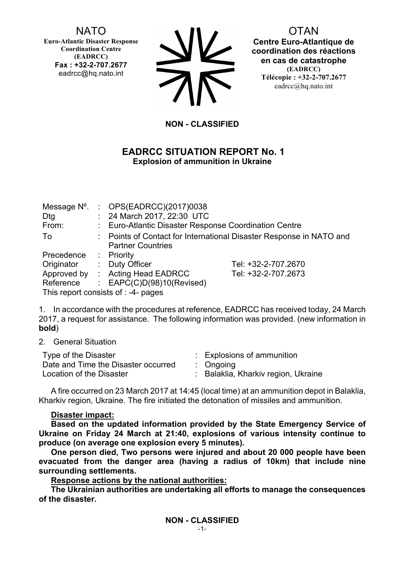## NATO

**Euro-Atlantic Disaster Response Coordination Centre (EADRCC) Fax : +32-2-707.2677** eadrcc@hq.nato.int



**OTAN Centre Euro-Atlantique de coordination des réactions en cas de catastrophe (EADRCC) Télécopie : +32-2-707.2677** eadrcc@hq.nato.int

## **NON - CLASSIFIED**

### **EADRCC SITUATION REPORT No. 1 Explosion of ammunition in Ukraine**

| Message N°.<br>Dtg<br>From:         |  | : OPS(EADRCC)(2017)0038<br>: 24 March 2017, 22:30 UTC<br>: Euro-Atlantic Disaster Response Coordination Centre |                     |
|-------------------------------------|--|----------------------------------------------------------------------------------------------------------------|---------------------|
| To                                  |  | : Points of Contact for International Disaster Response in NATO and<br><b>Partner Countries</b>                |                     |
| Precedence                          |  | $:$ Priority                                                                                                   |                     |
| Originator                          |  | : Duty Officer                                                                                                 | Tel: +32-2-707.2670 |
|                                     |  | Approved by : Acting Head EADRCC                                                                               | Tel: +32-2-707.2673 |
| Reference                           |  | : $EAPC(C)D(98)10(Revised)$                                                                                    |                     |
| This report consists of : -4- pages |  |                                                                                                                |                     |

1. In accordance with the procedures at reference, EADRCC has received today, 24 March 2017, a request for assistance. The following information was provided. (new information in **bold**)

2. General Situation

| Type of the Disaster                | : Explosions of ammunition        |
|-------------------------------------|-----------------------------------|
| Date and Time the Disaster occurred | $\therefore$ Ongoing              |
| Location of the Disaster            | Balaklia, Kharkiv region, Ukraine |

A fire occurred on 23 March 2017 at 14:45 (local time) at an ammunition depot in Balaklia, Kharkiv region, Ukraine. The fire initiated the detonation of missiles and ammunition.

#### **Disaster impact:**

**Based on the updated information provided by the State Emergency Service of Ukraine on Friday 24 March at 21:40, explosions of various intensity continue to produce (on average one explosion every 5 minutes).** 

**One person died, Two persons were injured and about 20 000 people have been evacuated from the danger area (having a radius of 10km) that include nine surrounding settlements.**

**Response actions by the national authorities:**

**The Ukrainian authorities are undertaking all efforts to manage the consequences of the disaster.**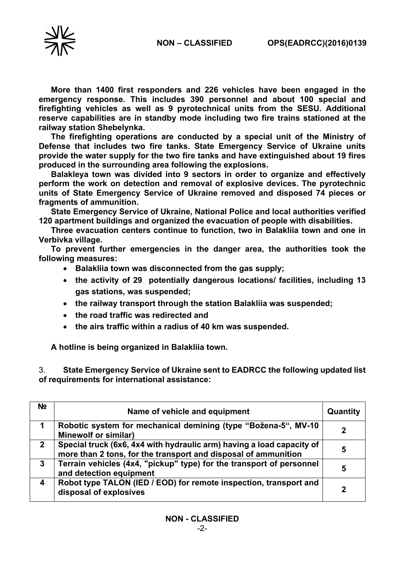

**More than 1400 first responders and 226 vehicles have been engaged in the emergency response. This includes 390 personnel and about 100 special and firefighting vehicles as well as 9 pyrotechnical units from the SESU. Additional reserve capabilities are in standby mode including two fire trains stationed at the railway station Shebelynka.**

**The firefighting operations are conducted by a special unit of the Ministry of Defense that includes two fire tanks. State Emergency Service of Ukraine units provide the water supply for the two fire tanks and have extinguished about 19 fires produced in the surrounding area following the explosions.**

**Balakleya town was divided into 9 sectors in order to organize and effectively perform the work on detection and removal of explosive devices. The pyrotechnic units of State Emergency Service of Ukraine removed and disposed 74 pieces or fragments of ammunition.**

**State Emergency Service of Ukraine, National Police and local authorities verified 120 apartment buildings and organized the evacuation of people with disabilities.**

**Three evacuation centers continue to function, two in Balakliia town and one in Verbivka village.**

**To prevent further emergencies in the danger area, the authorities took the following measures:**

- **Balakliia town was disconnected from the gas supply;**
- **the activity of 29 potentially dangerous locations/ facilities, including 13 gas stations, was suspended;**
- **the railway transport through the station Balakliia was suspended;**
- **the road traffic was redirected and**
- **the airs traffic within a radius of 40 km was suspended.**

**A hotline is being organized in Balakliia town.**

3. **State Emergency Service of Ukraine sent to EADRCC the following updated list of requirements for international assistance:**

| N <sub>2</sub> | Name of vehicle and equipment                                                                                                           | Quantity |
|----------------|-----------------------------------------------------------------------------------------------------------------------------------------|----------|
|                | Robotic system for mechanical demining (type "Božena-5", MV-10<br><b>Minewolf or similar)</b>                                           |          |
| $2^{\circ}$    | Special truck (6x6, 4x4 with hydraulic arm) having a load capacity of<br>more than 2 tons, for the transport and disposal of ammunition | 5        |
| $\mathbf{3}$   | Terrain vehicles (4x4, "pickup" type) for the transport of personnel<br>and detection equipment                                         | 5        |
| 4              | Robot type TALON (IED / EOD) for remote inspection, transport and<br>disposal of explosives                                             | 2        |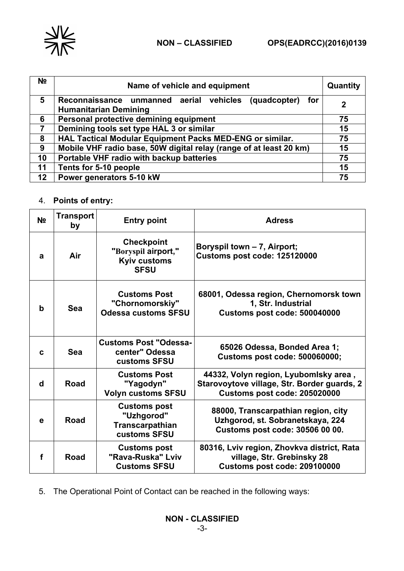

| N <sub>2</sub> | Name of vehicle and equipment                                                            | Quantity    |
|----------------|------------------------------------------------------------------------------------------|-------------|
| 5              | Reconnaissance unmanned aerial vehicles (quadcopter) for<br><b>Humanitarian Demining</b> | $\mathbf 2$ |
| 6              | Personal protective demining equipment                                                   | 75          |
| 7              | Demining tools set type HAL 3 or similar                                                 |             |
| 8              | HAL Tactical Modular Equipment Packs MED-ENG or similar.<br>75                           |             |
| 9              | Mobile VHF radio base, 50W digital relay (range of at least 20 km)<br>15                 |             |
| 10             | Portable VHF radio with backup batteries<br>75                                           |             |
| 11             | Tents for 5-10 people<br>15                                                              |             |
| 12             | Power generators 5-10 kW<br>75                                                           |             |

# 4. **Points of entry:**

| N <sub>o</sub> | <b>Transport</b><br>by | <b>Entry point</b>                                                             | <b>Adress</b>                                                                                                        |
|----------------|------------------------|--------------------------------------------------------------------------------|----------------------------------------------------------------------------------------------------------------------|
| a              | Air                    | <b>Checkpoint</b><br>"Boryspil airport,"<br><b>Kyiv customs</b><br><b>SFSU</b> | Boryspil town - 7, Airport;<br>Customs post code: 125120000                                                          |
| b              | <b>Sea</b>             | <b>Customs Post</b><br>"Chornomorskiy"<br><b>Odessa customs SFSU</b>           | 68001, Odessa region, Chernomorsk town<br>1, Str. Industrial<br>Customs post code: 500040000                         |
| C              | <b>Sea</b>             | <b>Customs Post "Odessa-</b><br>center" Odessa<br>customs SFSU                 | 65026 Odessa, Bonded Area 1;<br><b>Customs post code: 500060000;</b>                                                 |
| d              | Road                   | <b>Customs Post</b><br>"Yagodyn"<br><b>Volyn customs SFSU</b>                  | 44332, Volyn region, Lyubomlsky area,<br>Starovoytove village, Str. Border guards, 2<br>Customs post code: 205020000 |
| e              | <b>Road</b>            | <b>Customs post</b><br>"Uzhgorod"<br><b>Transcarpathian</b><br>customs SFSU    | 88000, Transcarpathian region, city<br>Uzhgorod, st. Sobranetskaya, 224<br>Customs post code: 30506 00 00.           |
| f              | Road                   | <b>Customs post</b><br>"Rava-Ruska" Lviv<br><b>Customs SFSU</b>                | 80316, Lviv region, Zhovkva district, Rata<br>village, Str. Grebinsky 28<br>Customs post code: 209100000             |

5. The Operational Point of Contact can be reached in the following ways: